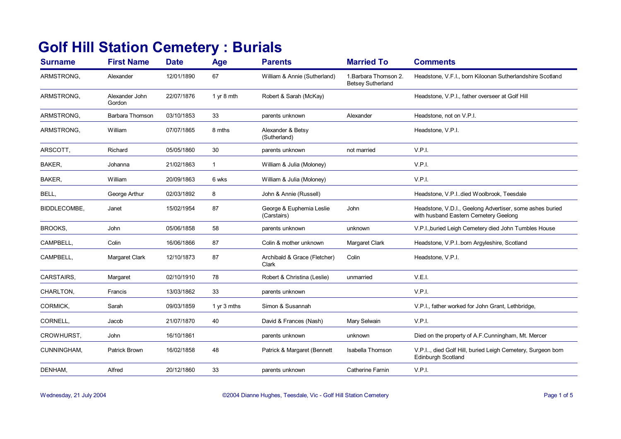## **Golf Hill Station Cemetery : Burials**

| <b>Surname</b>    | <b>First Name</b>        | <b>Date</b> | <b>Age</b>    | <b>Parents</b>                          | <b>Married To</b>                                 | <b>Comments</b>                                                                                   |
|-------------------|--------------------------|-------------|---------------|-----------------------------------------|---------------------------------------------------|---------------------------------------------------------------------------------------------------|
| ARMSTRONG,        | Alexander                | 12/01/1890  | 67            | William & Annie (Sutherland)            | 1. Barbara Thomson 2.<br><b>Betsey Sutherland</b> | Headstone, V.F.I., born Kiloonan Sutherlandshire Scotland                                         |
| ARMSTRONG,        | Alexander John<br>Gordon | 22/07/1876  | 1 yr 8 mth    | Robert & Sarah (McKay)                  |                                                   | Headstone, V.P.I., father overseer at Golf Hill                                                   |
| ARMSTRONG.        | <b>Barbara Thomson</b>   | 03/10/1853  | 33            | parents unknown                         | Alexander                                         | Headstone, not on V.P.I.                                                                          |
| ARMSTRONG,        | William                  | 07/07/1865  | 8 mths        | Alexander & Betsy<br>(Sutherland)       |                                                   | Headstone, V.P.I.                                                                                 |
| ARSCOTT,          | Richard                  | 05/05/1860  | 30            | parents unknown                         | not married                                       | V.P.I.                                                                                            |
| BAKER,            | Johanna                  | 21/02/1863  | $\mathbf{1}$  | William & Julia (Moloney)               |                                                   | V.P.I.                                                                                            |
| BAKER,            | William                  | 20/09/1863  | 6 wks         | William & Julia (Moloney)               |                                                   | V.P.I.                                                                                            |
| BELL,             | George Arthur            | 02/03/1892  | 8             | John & Annie (Russell)                  |                                                   | Headstone, V.P.I. died Woolbrook, Teesdale                                                        |
| BIDDLECOMBE,      | Janet                    | 15/02/1954  | 87            | George & Euphemia Leslie<br>(Carstairs) | John                                              | Headstone, V.D.I., Geelong Advertiser, some ashes buried<br>with husband Eastern Cemetery Geelong |
| BROOKS,           | John                     | 05/06/1858  | 58            | parents unknown                         | unknown                                           | V.P.I., buried Leigh Cemetery died John Tumbles House                                             |
| CAMPBELL,         | Colin                    | 16/06/1866  | 87            | Colin & mother unknown                  | Margaret Clark                                    | Headstone, V.P.I. born Argyleshire, Scotland                                                      |
| CAMPBELL,         | <b>Margaret Clark</b>    | 12/10/1873  | 87            | Archibald & Grace (Fletcher)<br>Clark   | Colin                                             | Headstone, V.P.I.                                                                                 |
| <b>CARSTAIRS.</b> | Margaret                 | 02/10/1910  | 78            | Robert & Christina (Leslie)             | unmarried                                         | V.E.I.                                                                                            |
| CHARLTON,         | Francis                  | 13/03/1862  | 33            | parents unknown                         |                                                   | V.P.I.                                                                                            |
| CORMICK,          | Sarah                    | 09/03/1859  | 1 $yr$ 3 mths | Simon & Susannah                        |                                                   | V.P.I., father worked for John Grant, Lethbridge,                                                 |
| CORNELL,          | Jacob                    | 21/07/1870  | 40            | David & Frances (Nash)                  | Mary Selwain                                      | V.P.I.                                                                                            |
| CROWHURST,        | John                     | 16/10/1861  |               | parents unknown                         | unknown                                           | Died on the property of A.F.Cunningham, Mt. Mercer                                                |
| CUNNINGHAM,       | Patrick Brown            | 16/02/1858  | 48            | Patrick & Margaret (Bennett             | Isabella Thomson                                  | V.P.I, died Golf Hill, buried Leigh Cemetery, Surgeon born<br>Edinburgh Scotland                  |
| DENHAM,           | Alfred                   | 20/12/1860  | 33            | parents unknown                         | Catherine Farnin                                  | V.P.I.                                                                                            |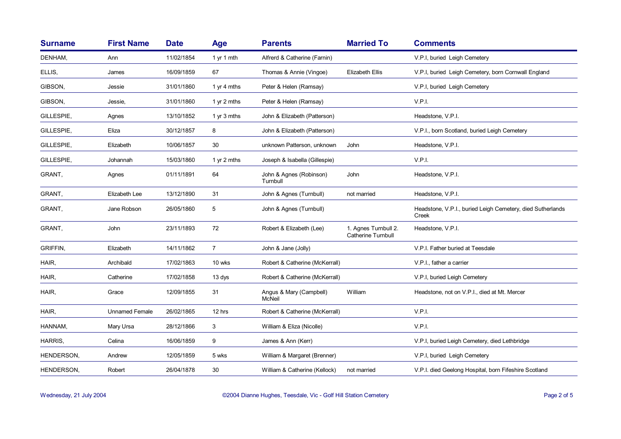| <b>Surname</b> | <b>First Name</b>     | <b>Date</b> | <b>Age</b>     | <b>Parents</b>                      | <b>Married To</b>                                 | <b>Comments</b>                                                     |
|----------------|-----------------------|-------------|----------------|-------------------------------------|---------------------------------------------------|---------------------------------------------------------------------|
| DENHAM,        | Ann                   | 11/02/1854  | 1 yr 1 mth     | Alfrerd & Catherine (Farnin)        |                                                   | V.P.I, buried Leigh Cemetery                                        |
| ELLIS,         | James                 | 16/09/1859  | 67             | Thomas & Annie (Vingoe)             | <b>Elizabeth Ellis</b>                            | V.P.I, buried Leigh Cemetery, born Cornwall England                 |
| GIBSON,        | Jessie                | 31/01/1860  | 1 yr 4 mths    | Peter & Helen (Ramsay)              |                                                   | V.P.I, buried Leigh Cemetery                                        |
| GIBSON,        | Jessie.               | 31/01/1860  | 1 yr 2 mths    | Peter & Helen (Ramsay)              |                                                   | V.P.I.                                                              |
| GILLESPIE,     | Agnes                 | 13/10/1852  | 1 yr 3 mths    | John & Elizabeth (Patterson)        |                                                   | Headstone, V.P.I.                                                   |
| GILLESPIE,     | Eliza                 | 30/12/1857  | 8              | John & Elizabeth (Patterson)        |                                                   | V.P.I., born Scotland, buried Leigh Cemetery                        |
| GILLESPIE,     | Elizabeth             | 10/06/1857  | 30             | unknown Patterson, unknown          | John                                              | Headstone, V.P.I.                                                   |
| GILLESPIE,     | Johannah              | 15/03/1860  | 1 yr 2 mths    | Joseph & Isabella (Gillespie)       |                                                   | V.P.I.                                                              |
| GRANT,         | Agnes                 | 01/11/1891  | 64             | John & Agnes (Robinson)<br>Turnbull | John                                              | Headstone, V.P.I.                                                   |
| GRANT,         | Elizabeth Lee         | 13/12/1890  | 31             | John & Agnes (Turnbull)             | not married                                       | Headstone, V.P.I.                                                   |
| GRANT.         | Jane Robson           | 26/05/1860  | 5              | John & Agnes (Turnbull)             |                                                   | Headstone, V.P.I., buried Leigh Cemetery, died Sutherlands<br>Creek |
| GRANT,         | John                  | 23/11/1893  | $72\,$         | Robert & Elizabeth (Lee)            | 1. Agnes Turnbull 2.<br><b>Catherine Turnbull</b> | Headstone, V.P.I.                                                   |
| GRIFFIN,       | Elizabeth             | 14/11/1862  | $\overline{7}$ | John & Jane (Jolly)                 |                                                   | V.P.I. Father buried at Teesdale                                    |
| HAIR.          | Archibald             | 17/02/1863  | 10 wks         | Robert & Catherine (McKerrall)      |                                                   | V.P.I., father a carrier                                            |
| HAIR,          | Catherine             | 17/02/1858  | 13 dys         | Robert & Catherine (McKerrall)      |                                                   | V.P.I, buried Leigh Cemetery                                        |
| HAIR,          | Grace                 | 12/09/1855  | 31             | Angus & Mary (Campbell)<br>McNeil   | William                                           | Headstone, not on V.P.I., died at Mt. Mercer                        |
| HAIR,          | <b>Unnamed Female</b> | 26/02/1865  | 12 hrs         | Robert & Catherine (McKerrall)      |                                                   | V.P.I.                                                              |
| HANNAM,        | Mary Ursa             | 28/12/1866  | 3              | William & Eliza (Nicolle)           |                                                   | V.P.I.                                                              |
| HARRIS,        | Celina                | 16/06/1859  | 9              | James & Ann (Kerr)                  |                                                   | V.P.I, buried Leigh Cemetery, died Lethbridge                       |
| HENDERSON,     | Andrew                | 12/05/1859  | 5 wks          | William & Margaret (Brenner)        |                                                   | V.P.I, buried Leigh Cemetery                                        |
| HENDERSON,     | Robert                | 26/04/1878  | 30             | William & Catherine (Kellock)       | not married                                       | V.P.I. died Geelong Hospital, born Fifeshire Scotland               |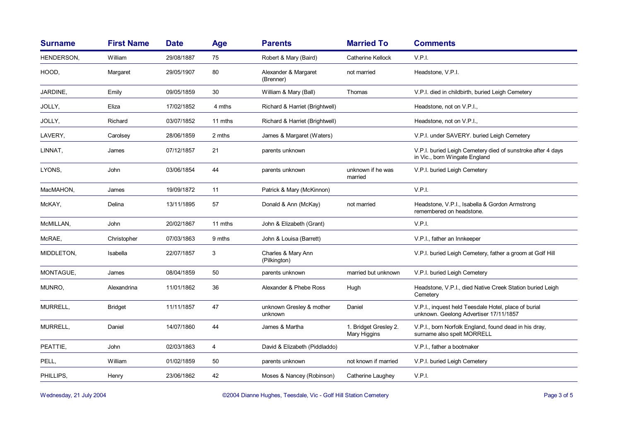| <b>Surname</b>  | <b>First Name</b> | <b>Date</b> | <b>Age</b> | <b>Parents</b>                      | <b>Married To</b>                     | <b>Comments</b>                                                                                |
|-----------------|-------------------|-------------|------------|-------------------------------------|---------------------------------------|------------------------------------------------------------------------------------------------|
| HENDERSON,      | William           | 29/08/1887  | 75         | Robert & Mary (Baird)               | <b>Catherine Kellock</b>              | V.P.I.                                                                                         |
| HOOD,           | Margaret          | 29/05/1907  | 80         | Alexander & Margaret<br>(Brenner)   | not married                           | Headstone, V.P.I.                                                                              |
| <b>JARDINE,</b> | Emily             | 09/05/1859  | 30         | William & Mary (Ball)               | Thomas                                | V.P.I. died in childbirth, buried Leigh Cemetery                                               |
| JOLLY,          | Eliza             | 17/02/1852  | 4 mths     | Richard & Harriet (Brightwell)      |                                       | Headstone, not on V.P.I.,                                                                      |
| JOLLY,          | Richard           | 03/07/1852  | 11 mths    | Richard & Harriet (Brightwell)      |                                       | Headstone, not on V.P.I.,                                                                      |
| LAVERY,         | Carolsey          | 28/06/1859  | 2 mths     | James & Margaret (Waters)           |                                       | V.P.I. under SAVERY. buried Leigh Cemetery                                                     |
| LINNAT,         | James             | 07/12/1857  | 21         | parents unknown                     |                                       | V.P.I. buried Leigh Cemetery died of sunstroke after 4 days<br>in Vic., born Wingate England   |
| LYONS,          | John              | 03/06/1854  | 44         | parents unknown                     | unknown if he was<br>married          | V.P.I. buried Leigh Cemetery                                                                   |
| MacMAHON,       | James             | 19/09/1872  | 11         | Patrick & Mary (McKinnon)           |                                       | V.P.I.                                                                                         |
| McKAY,          | Delina            | 13/11/1895  | 57         | Donald & Ann (McKay)                | not married                           | Headstone, V.P.I., Isabella & Gordon Armstrong<br>remembered on headstone.                     |
| McMILLAN,       | John              | 20/02/1867  | 11 mths    | John & Elizabeth (Grant)            |                                       | V.P.I.                                                                                         |
| McRAE.          | Christopher       | 07/03/1863  | 9 mths     | John & Louisa (Barrett)             |                                       | V.P.I., father an Innkeeper                                                                    |
| MIDDLETON,      | Isabella          | 22/07/1857  | 3          | Charles & Mary Ann<br>(Pilkington)  |                                       | V.P.I. buried Leigh Cemetery, father a groom at Golf Hill                                      |
| MONTAGUE,       | James             | 08/04/1859  | 50         | parents unknown                     | married but unknown                   | V.P.I. buried Leigh Cemetery                                                                   |
| MUNRO,          | Alexandrina       | 11/01/1862  | 36         | Alexander & Phebe Ross              | Hugh                                  | Headstone, V.P.I., died Native Creek Station buried Leigh<br>Cemetery                          |
| MURRELL,        | <b>Bridget</b>    | 11/11/1857  | 47         | unknown Gresley & mother<br>unknown | Daniel                                | V.P.I., inquest held Teesdale Hotel, place of burial<br>unknown. Geelong Advertiser 17/11/1857 |
| MURRELL,        | Daniel            | 14/07/1860  | 44         | James & Martha                      | 1. Bridget Gresley 2.<br>Mary Higgins | V.P.I., born Norfolk England, found dead in his dray,<br>surname also spelt MORRELL            |
| PEATTIE.        | John              | 02/03/1863  | 4          | David & Elizabeth (Piddladdo)       |                                       | V.P.I., father a bootmaker                                                                     |
| PELL,           | William           | 01/02/1859  | 50         | parents unknown                     | not known if married                  | V.P.I. buried Leigh Cemetery                                                                   |
| PHILLIPS.       | Henry             | 23/06/1862  | 42         | Moses & Nancey (Robinson)           | Catherine Laughey                     | V.P.I.                                                                                         |

Wednesday, 21 July 2004 **Dianne Hughes, Teesdale, Vic - Golf Hill Station Cemetery** Page 3 of 5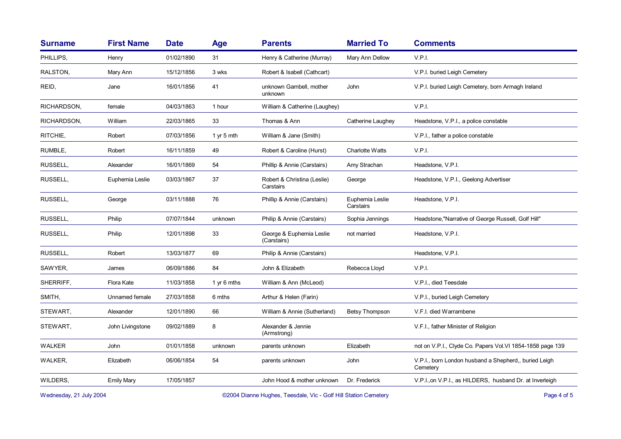| <b>Surname</b> | <b>First Name</b> | <b>Date</b> | Age         | <b>Parents</b>                           | <b>Married To</b>            | <b>Comments</b>                                                   |
|----------------|-------------------|-------------|-------------|------------------------------------------|------------------------------|-------------------------------------------------------------------|
| PHILLIPS,      | Henry             | 01/02/1890  | 31          | Henry & Catherine (Murray)               | Mary Ann Dellow              | V.P.I.                                                            |
| RALSTON,       | Mary Ann          | 15/12/1856  | 3 wks       | Robert & Isabell (Cathcart)              |                              | V.P.I. buried Leigh Cemetery                                      |
| REID,          | Jane              | 16/01/1856  | 41          | unknown Gambell, mother<br>unknown       | John                         | V.P.I. buried Leigh Cemetery, born Armagh Ireland                 |
| RICHARDSON,    | female            | 04/03/1863  | 1 hour      | William & Catherine (Laughey)            |                              | V.P.I.                                                            |
| RICHARDSON,    | William           | 22/03/1865  | 33          | Thomas & Ann                             | Catherine Laughey            | Headstone, V.P.I., a police constable                             |
| RITCHIE,       | Robert            | 07/03/1856  | 1 yr 5 mth  | William & Jane (Smith)                   |                              | V.P.I., father a police constable                                 |
| RUMBLE,        | Robert            | 16/11/1859  | 49          | Robert & Caroline (Hurst)                | Charlotte Watts              | V.P.I.                                                            |
| RUSSELL,       | Alexander         | 16/01/1869  | 54          | Phillip & Annie (Carstairs)              | Amy Strachan                 | Headstone, V.P.I.                                                 |
| RUSSELL,       | Euphemia Leslie   | 03/03/1867  | 37          | Robert & Christina (Leslie)<br>Carstairs | George                       | Headstone, V.P.I., Geelong Advertiser                             |
| RUSSELL,       | George            | 03/11/1888  | 76          | Phillip & Annie (Carstairs)              | Euphemia Leslie<br>Carstairs | Headstone, V.P.I.                                                 |
| RUSSELL,       | Philip            | 07/07/1844  | unknown     | Philip & Annie (Carstairs)               | Sophia Jennings              | Headstone,"Narrative of George Russell, Golf Hill"                |
| RUSSELL,       | Philip            | 12/01/1898  | 33          | George & Euphemia Leslie<br>(Carstairs)  | not married                  | Headstone, V.P.I.                                                 |
| RUSSELL,       | Robert            | 13/03/1877  | 69          | Philip & Annie (Carstairs)               |                              | Headstone, V.P.I.                                                 |
| SAWYER,        | James             | 06/09/1886  | 84          | John & Elizabeth                         | Rebecca Lloyd                | V.P.I.                                                            |
| SHERRIFF,      | Flora Kate        | 11/03/1858  | 1 yr 6 mths | William & Ann (McLeod)                   |                              | V.P.I., died Teesdale                                             |
| SMITH,         | Unnamed female    | 27/03/1858  | 6 mths      | Arthur & Helen (Farin)                   |                              | V.P.I., buried Leigh Cemetery                                     |
| STEWART,       | Alexander         | 12/01/1890  | 66          | William & Annie (Sutherland)             | <b>Betsy Thompson</b>        | V.F.I. died Warrambene                                            |
| STEWART,       | John Livingstone  | 09/02/1889  | 8           | Alexander & Jennie<br>(Armstrong)        |                              | V.F.I., father Minister of Religion                               |
| <b>WALKER</b>  | John              | 01/01/1858  | unknown     | parents unknown                          | Elizabeth                    | not on V.P.I., Clyde Co. Papers Vol.VI 1854-1858 page 139         |
| WALKER,        | Elizabeth         | 06/06/1854  | 54          | parents unknown                          | John                         | V.P.I., born London husband a Shepherd,, buried Leigh<br>Cemetery |
| WILDERS,       | <b>Emily Mary</b> | 17/05/1857  |             | John Hood & mother unknown               | Dr. Frederick                | V.P.I., on V.P.I., as HILDERS, husband Dr. at Inverleigh          |
|                |                   |             |             |                                          |                              |                                                                   |

Wednesday, 21 July 2004 **Dianne Hughes, Teesdale, Vic - Golf Hill Station Cemetery** Page 4 of 5